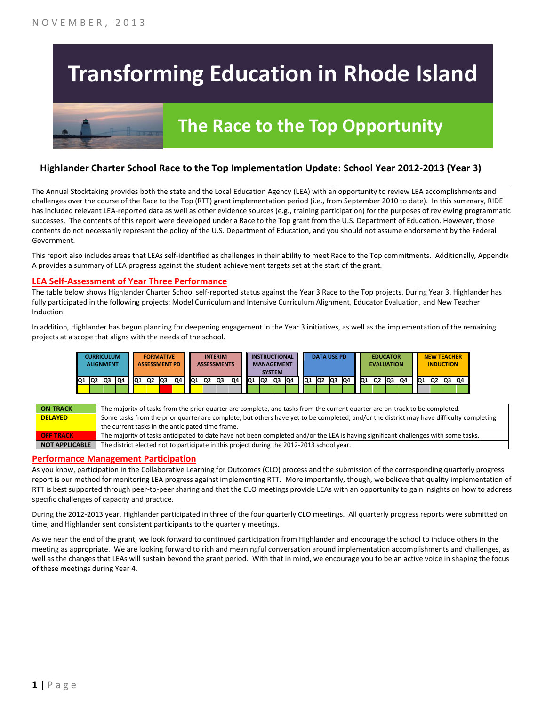# **Transforming Education in Rhode Island**

## **The Race to the Top Opportunity**

#### **Highlander Charter School Race to the Top Implementation Update: School Year 2012-2013 (Year 3)**

The Annual Stocktaking provides both the state and the Local Education Agency (LEA) with an opportunity to review LEA accomplishments and challenges over the course of the Race to the Top (RTT) grant implementation period (i.e., from September 2010 to date). In this summary, RIDE has included relevant LEA-reported data as well as other evidence sources (e.g., training participation) for the purposes of reviewing programmatic successes. The contents of this report were developed under a Race to the Top grant from the U.S. Department of Education. However, those contents do not necessarily represent the policy of the U.S. Department of Education, and you should not assume endorsement by the Federal Government.

\_\_\_\_\_\_\_\_\_\_\_\_\_\_\_\_\_\_\_\_\_\_\_\_\_\_\_\_\_\_\_\_\_\_\_\_\_\_\_\_\_\_\_\_\_\_\_\_\_\_\_\_\_\_\_\_\_\_\_\_\_\_\_\_\_\_\_\_\_\_\_\_\_\_\_\_\_\_\_\_\_\_\_\_\_\_\_\_\_\_\_\_\_\_\_\_

This report also includes areas that LEAs self-identified as challenges in their ability to meet Race to the Top commitments. Additionally, Appendix A provides a summary of LEA progress against the student achievement targets set at the start of the grant.

#### **LEA Self-Assessment of Year Three Performance**

The table below shows Highlander Charter School self-reported status against the Year 3 Race to the Top projects. During Year 3, Highlander has fully participated in the following projects: Model Curriculum and Intensive Curriculum Alignment, Educator Evaluation, and New Teacher Induction.

In addition, Highlander has begun planning for deepening engagement in the Year 3 initiatives, as well as the implementation of the remaining projects at a scope that aligns with the needs of the school.

|     | <b>CURRICULUM</b><br><b>ALIGNMENT</b> |    |    |     | <b>FORMATIVE</b><br><b>ASSESSMENT PD</b> |    |    |     |                | <b>INTERIM</b><br><b>ASSESSMENTS</b> |    |     | <b>INSTRUCTIONAL</b><br><b>MANAGEMENT</b> | <b>SYSTEM</b> |     |                 | <b>DATA USE PD</b> |     |    |     | <b>EVALUATION</b> | <b>EDUCATOR</b> |    |    | <b>NEW TEACHER</b><br><b>INDUCTION</b> |    |    |
|-----|---------------------------------------|----|----|-----|------------------------------------------|----|----|-----|----------------|--------------------------------------|----|-----|-------------------------------------------|---------------|-----|-----------------|--------------------|-----|----|-----|-------------------|-----------------|----|----|----------------------------------------|----|----|
| lQ1 | IQ2                                   | Q3 | Q4 | IQ1 | Q <sub>2</sub>                           | Q3 | Q4 | IQ1 | Q <sub>2</sub> | lQ3                                  | Q4 | IQ1 | IQ <sub>2</sub>                           | Q3            | IQ4 | IQ <sub>1</sub> | <b>Q2</b>          | lQ3 | Q4 | IQ1 | IQ <sub>2</sub>   | Q3              | Q4 | Q1 | Q2                                     | Q3 | Q4 |
|     |                                       |    |    |     |                                          |    |    |     |                |                                      |    |     |                                           |               |     |                 |                    |     |    |     |                   |                 |    |    |                                        |    |    |

| <b>ON-TRACK</b>       | The majority of tasks from the prior quarter are complete, and tasks from the current quarter are on-track to be completed.             |
|-----------------------|-----------------------------------------------------------------------------------------------------------------------------------------|
| <b>DELAYED</b>        | Some tasks from the prior quarter are complete, but others have yet to be completed, and/or the district may have difficulty completing |
|                       | the current tasks in the anticipated time frame.                                                                                        |
| <b>OFF TRACK</b>      | The majority of tasks anticipated to date have not been completed and/or the LEA is having significant challenges with some tasks.      |
| <b>NOT APPLICABLE</b> | The district elected not to participate in this project during the 2012-2013 school year.                                               |

#### **Performance Management Participation**

As you know, participation in the Collaborative Learning for Outcomes (CLO) process and the submission of the corresponding quarterly progress report is our method for monitoring LEA progress against implementing RTT. More importantly, though, we believe that quality implementation of RTT is best supported through peer-to-peer sharing and that the CLO meetings provide LEAs with an opportunity to gain insights on how to address specific challenges of capacity and practice.

During the 2012-2013 year, Highlander participated in three of the four quarterly CLO meetings. All quarterly progress reports were submitted on time, and Highlander sent consistent participants to the quarterly meetings.

As we near the end of the grant, we look forward to continued participation from Highlander and encourage the school to include others in the meeting as appropriate. We are looking forward to rich and meaningful conversation around implementation accomplishments and challenges, as well as the changes that LEAs will sustain beyond the grant period. With that in mind, we encourage you to be an active voice in shaping the focus of these meetings during Year 4.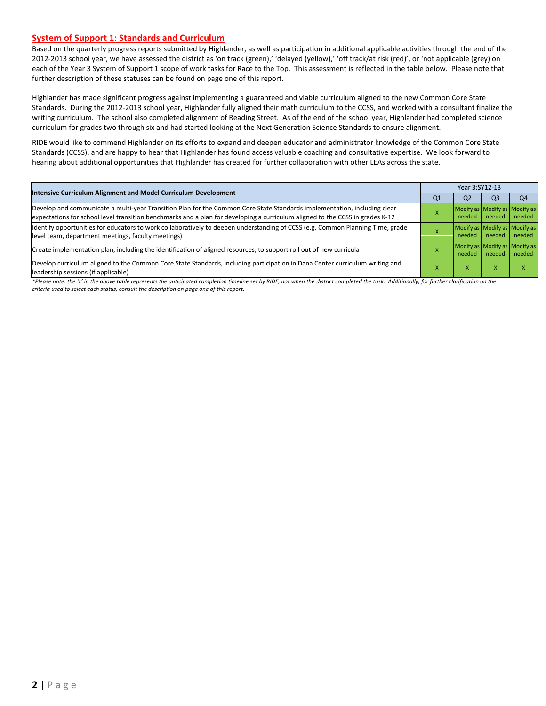#### **System of Support 1: Standards and Curriculum**

Based on the quarterly progress reports submitted by Highlander, as well as participation in additional applicable activities through the end of the 2012-2013 school year, we have assessed the district as 'on track (green),' 'delayed (yellow),' 'off track/at risk (red)', or 'not applicable (grey) on each of the Year 3 System of Support 1 scope of work tasks for Race to the Top. This assessment is reflected in the table below. Please note that further description of these statuses can be found on page one of this report.

Highlander has made significant progress against implementing a guaranteed and viable curriculum aligned to the new Common Core State Standards. During the 2012-2013 school year, Highlander fully aligned their math curriculum to the CCSS, and worked with a consultant finalize the writing curriculum. The school also completed alignment of Reading Street. As of the end of the school year, Highlander had completed science curriculum for grades two through six and had started looking at the Next Generation Science Standards to ensure alignment.

RIDE would like to commend Highlander on its efforts to expand and deepen educator and administrator knowledge of the Common Core State Standards (CCSS), and are happy to hear that Highlander has found access valuable coaching and consultative expertise. We look forward to hearing about additional opportunities that Highlander has created for further collaboration with other LEAs across the state.

|                                                                                                                                                                                                                                                            | Year 3:SY12-13 |                                         |                   |                                         |  |  |
|------------------------------------------------------------------------------------------------------------------------------------------------------------------------------------------------------------------------------------------------------------|----------------|-----------------------------------------|-------------------|-----------------------------------------|--|--|
| <b>Intensive Curriculum Alignment and Model Curriculum Development</b>                                                                                                                                                                                     | Q <sub>1</sub> | Q <sub>2</sub>                          | O <sub>3</sub>    | Q <sub>4</sub>                          |  |  |
| Develop and communicate a multi-year Transition Plan for the Common Core State Standards implementation, including clear<br>lexpectations for school level transition benchmarks and a plan for developing a curriculum aligned to the CCSS in grades K-12 |                | Modify as Modify as Modify as<br>needed | needed            | needed                                  |  |  |
| ldentify opportunities for educators to work collaboratively to deepen understanding of CCSS (e.g. Common Planning Time, grade<br>level team, department meetings, faculty meetings)                                                                       |                | Modify as Modify as Modify as<br>needed | needed            | needed                                  |  |  |
| Create implementation plan, including the identification of aligned resources, to support roll out of new curricula                                                                                                                                        |                | needed                                  | needed            | Modify as Modify as Modify as<br>needed |  |  |
| Develop curriculum aligned to the Common Core State Standards, including participation in Dana Center curriculum writing and<br>leadership sessions (if applicable)                                                                                        |                | x                                       | $\mathbf{v}$<br>ж |                                         |  |  |

\*Please note: the 'x' in the above table represents the anticipated completion timeline set by RIDE, not when the district completed the task. Additionally, for further clarification on the *criteria used to select each status, consult the description on page one of this report.*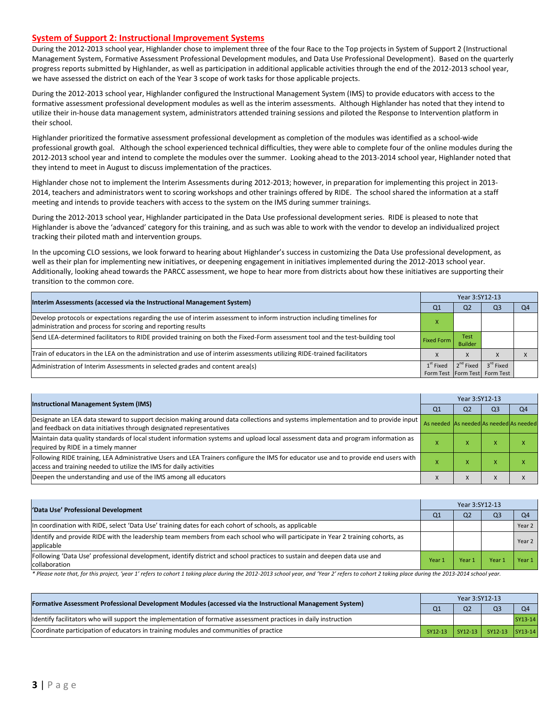#### **System of Support 2: Instructional Improvement Systems**

During the 2012-2013 school year, Highlander chose to implement three of the four Race to the Top projects in System of Support 2 (Instructional Management System, Formative Assessment Professional Development modules, and Data Use Professional Development). Based on the quarterly progress reports submitted by Highlander, as well as participation in additional applicable activities through the end of the 2012-2013 school year, we have assessed the district on each of the Year 3 scope of work tasks for those applicable projects.

During the 2012-2013 school year, Highlander configured the Instructional Management System (IMS) to provide educators with access to the formative assessment professional development modules as well as the interim assessments. Although Highlander has noted that they intend to utilize their in-house data management system, administrators attended training sessions and piloted the Response to Intervention platform in their school.

Highlander prioritized the formative assessment professional development as completion of the modules was identified as a school-wide professional growth goal. Although the school experienced technical difficulties, they were able to complete four of the online modules during the 2012-2013 school year and intend to complete the modules over the summer. Looking ahead to the 2013-2014 school year, Highlander noted that they intend to meet in August to discuss implementation of the practices.

Highlander chose not to implement the Interim Assessments during 2012-2013; however, in preparation for implementing this project in 2013- 2014, teachers and administrators went to scoring workshops and other trainings offered by RIDE. The school shared the information at a staff meeting and intends to provide teachers with access to the system on the IMS during summer trainings.

During the 2012-2013 school year, Highlander participated in the Data Use professional development series. RIDE is pleased to note that Highlander is above the 'advanced' category for this training, and as such was able to work with the vendor to develop an individualized project tracking their piloted math and intervention groups.

In the upcoming CLO sessions, we look forward to hearing about Highlander's success in customizing the Data Use professional development, as well as their plan for implementing new initiatives, or deepening engagement in initiatives implemented during the 2012-2013 school year. Additionally, looking ahead towards the PARCC assessment, we hope to hear more from districts about how these initiatives are supporting their transition to the common core.

|                                                                                                                                                                                         | Year 3:SY12-13    |                        |                               |    |  |  |  |
|-----------------------------------------------------------------------------------------------------------------------------------------------------------------------------------------|-------------------|------------------------|-------------------------------|----|--|--|--|
| Interim Assessments (accessed via the Instructional Management System)                                                                                                                  | Q <sub>1</sub>    | Q <sub>2</sub>         | O3                            | Q4 |  |  |  |
| Develop protocols or expectations regarding the use of interim assessment to inform instruction including timelines for<br>administration and process for scoring and reporting results |                   |                        |                               |    |  |  |  |
| Send LEA-determined facilitators to RIDE provided training on both the Fixed-Form assessment tool and the test-building tool                                                            | <b>Fixed Form</b> | Test<br><b>Builder</b> |                               |    |  |  |  |
| Train of educators in the LEA on the administration and use of interim assessments utilizing RIDE-trained facilitators                                                                  |                   | X                      |                               |    |  |  |  |
| Administration of Interim Assessments in selected grades and content area(s)                                                                                                            | $1st$ Fixed       | $2^{nd}$ Fixed         | $3^{\text{rd}}$ Fixed         |    |  |  |  |
|                                                                                                                                                                                         |                   |                        | Form Test Form Test Form Test |    |  |  |  |

| <b>Instructional Management System (IMS)</b>                                                                                                                                                              | Year 3:SY12-13                          |                |                |                |  |  |
|-----------------------------------------------------------------------------------------------------------------------------------------------------------------------------------------------------------|-----------------------------------------|----------------|----------------|----------------|--|--|
|                                                                                                                                                                                                           | Q <sub>1</sub>                          | Q <sub>2</sub> | Q <sub>3</sub> | Q <sub>4</sub> |  |  |
| Designate an LEA data steward to support decision making around data collections and systems implementation and to provide input<br>and feedback on data initiatives through designated representatives   | As needed As needed As needed As needed |                |                |                |  |  |
| Maintain data quality standards of local student information systems and upload local assessment data and program information as<br>required by RIDE in a timely manner                                   |                                         | ⋏              | $\lambda$      |                |  |  |
| Following RIDE training, LEA Administrative Users and LEA Trainers configure the IMS for educator use and to provide end users with<br>access and training needed to utilize the IMS for daily activities |                                         | ⋏              | $\lambda$      |                |  |  |
| Deepen the understanding and use of the IMS among all educators                                                                                                                                           |                                         | X              |                |                |  |  |

| 'Data Use' Professional Development                                                                                                           | Year 3:SY12-13 |                |                |        |  |  |
|-----------------------------------------------------------------------------------------------------------------------------------------------|----------------|----------------|----------------|--------|--|--|
|                                                                                                                                               | Q <sub>1</sub> | Q <sub>2</sub> | Q <sub>3</sub> | Q4     |  |  |
| In coordination with RIDE, select 'Data Use' training dates for each cohort of schools, as applicable                                         |                |                |                | Year 2 |  |  |
| Identify and provide RIDE with the leadership team members from each school who will participate in Year 2 training cohorts, as<br>applicable |                |                |                | Year 2 |  |  |
| Following 'Data Use' professional development, identify district and school practices to sustain and deepen data use and<br>collaboration     | Year 1         | Year 1         | Year           | Year 1 |  |  |

\* Please note that, for this project, 'year 1' refers to cohort 1 taking place during the 2012-2013 school year, and 'Year 2' refers to cohort 2 taking place during the 2013-2014 school year.

| [Formative Assessment Professional Development Modules (accessed via the Instructional Management System)         |                | Year 3:SY12-13 |                 |         |  |  |  |
|-------------------------------------------------------------------------------------------------------------------|----------------|----------------|-----------------|---------|--|--|--|
|                                                                                                                   | Q <sub>1</sub> | Q <sub>2</sub> | O <sub>3</sub>  | O4      |  |  |  |
| Ildentify facilitators who will support the implementation of formative assessment practices in daily instruction |                |                |                 | SY13-14 |  |  |  |
| Coordinate participation of educators in training modules and communities of practice                             | SY12-13        | $SY12-13$      | SY12-13 SY13-14 |         |  |  |  |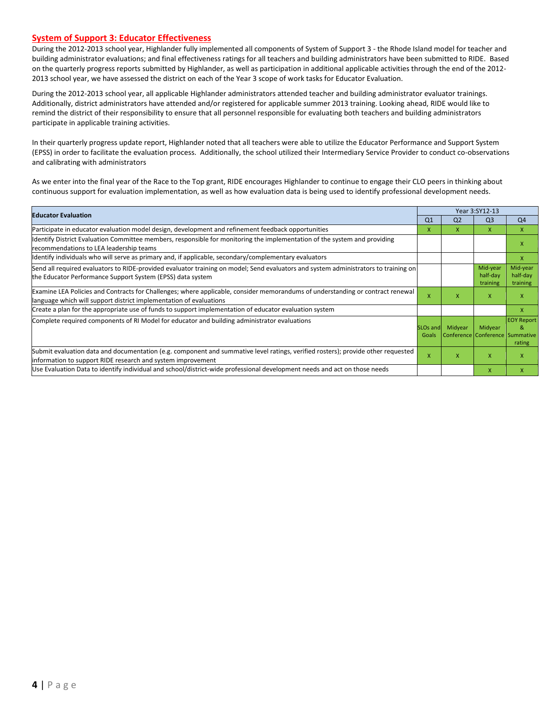#### **System of Support 3: Educator Effectiveness**

During the 2012-2013 school year, Highlander fully implemented all components of System of Support 3 - the Rhode Island model for teacher and building administrator evaluations; and final effectiveness ratings for all teachers and building administrators have been submitted to RIDE. Based on the quarterly progress reports submitted by Highlander, as well as participation in additional applicable activities through the end of the 2012- 2013 school year, we have assessed the district on each of the Year 3 scope of work tasks for Educator Evaluation.

During the 2012-2013 school year, all applicable Highlander administrators attended teacher and building administrator evaluator trainings. Additionally, district administrators have attended and/or registered for applicable summer 2013 training. Looking ahead, RIDE would like to remind the district of their responsibility to ensure that all personnel responsible for evaluating both teachers and building administrators participate in applicable training activities.

In their quarterly progress update report, Highlander noted that all teachers were able to utilize the Educator Performance and Support System (EPSS) in order to facilitate the evaluation process. Additionally, the school utilized their Intermediary Service Provider to conduct co-observations and calibrating with administrators

As we enter into the final year of the Race to the Top grant, RIDE encourages Highlander to continue to engage their CLO peers in thinking about continuous support for evaluation implementation, as well as how evaluation data is being used to identify professional development needs.

| <b>Educator Evaluation</b>                                                                                                                                                                           |                               | Year 3:SY12-13 |                                            |                                  |  |
|------------------------------------------------------------------------------------------------------------------------------------------------------------------------------------------------------|-------------------------------|----------------|--------------------------------------------|----------------------------------|--|
|                                                                                                                                                                                                      | Q <sub>1</sub>                | Q <sub>2</sub> | Q <sub>3</sub>                             | Q <sub>4</sub>                   |  |
| Participate in educator evaluation model design, development and refinement feedback opportunities                                                                                                   | x                             | x              | X                                          | X                                |  |
| Ildentify District Evaluation Committee members, responsible for monitoring the implementation of the system and providing<br>recommendations to LEA leadership teams                                |                               |                |                                            | x                                |  |
| Identify individuals who will serve as primary and, if applicable, secondary/complementary evaluators                                                                                                |                               |                |                                            | X                                |  |
| Send all required evaluators to RIDE-provided evaluator training on model; Send evaluators and system administrators to training on<br>the Educator Performance Support System (EPSS) data system    |                               |                | Mid-year<br>half-day<br>training           | Mid-year<br>half-day<br>training |  |
| Examine LEA Policies and Contracts for Challenges; where applicable, consider memorandums of understanding or contract renewal<br>language which will support district implementation of evaluations | X                             | X              | X                                          | X                                |  |
| Create a plan for the appropriate use of funds to support implementation of educator evaluation system                                                                                               |                               |                |                                            | X                                |  |
| Complete required components of RI Model for educator and building administrator evaluations                                                                                                         | SLO <sub>s</sub> and<br>Goals | Midyear        | Midyear<br>Conference Conference Summative | <b>EOY Report</b><br>&<br>rating |  |
| Submit evaluation data and documentation (e.g. component and summative level ratings, verified rosters); provide other requested<br>information to support RIDE research and system improvement      |                               | x              | X                                          | X                                |  |
| Use Evaluation Data to identify individual and school/district-wide professional development needs and act on those needs                                                                            |                               |                | $\mathsf{x}$                               | X                                |  |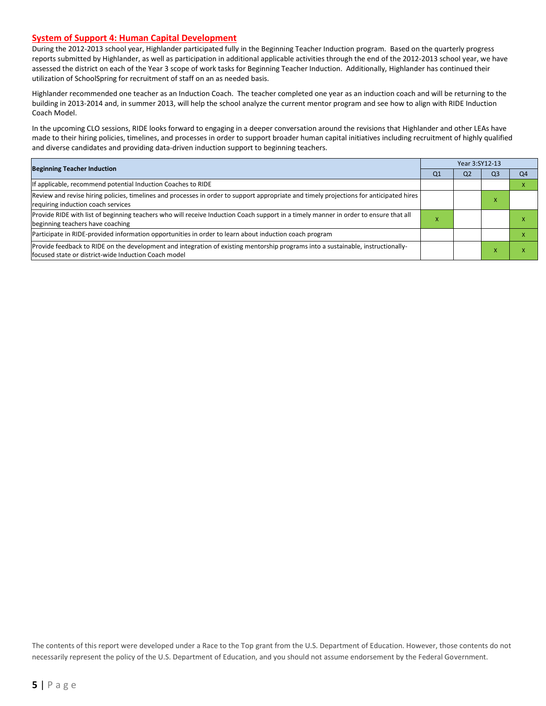#### **System of Support 4: Human Capital Development**

During the 2012-2013 school year, Highlander participated fully in the Beginning Teacher Induction program. Based on the quarterly progress reports submitted by Highlander, as well as participation in additional applicable activities through the end of the 2012-2013 school year, we have assessed the district on each of the Year 3 scope of work tasks for Beginning Teacher Induction. Additionally, Highlander has continued their utilization of SchoolSpring for recruitment of staff on an as needed basis.

Highlander recommended one teacher as an Induction Coach. The teacher completed one year as an induction coach and will be returning to the building in 2013-2014 and, in summer 2013, will help the school analyze the current mentor program and see how to align with RIDE Induction Coach Model.

In the upcoming CLO sessions, RIDE looks forward to engaging in a deeper conversation around the revisions that Highlander and other LEAs have made to their hiring policies, timelines, and processes in order to support broader human capital initiatives including recruitment of highly qualified and diverse candidates and providing data-driven induction support to beginning teachers.

| <b>Beginning Teacher Induction</b>                                                                                                                                                       |    | Year 3:SY12-13 |                |    |
|------------------------------------------------------------------------------------------------------------------------------------------------------------------------------------------|----|----------------|----------------|----|
|                                                                                                                                                                                          | Q1 | Q <sub>2</sub> | Q <sub>3</sub> | Q4 |
| If applicable, recommend potential Induction Coaches to RIDE                                                                                                                             |    |                |                |    |
| Review and revise hiring policies, timelines and processes in order to support appropriate and timely projections for anticipated hires<br>requiring induction coach services            |    |                | $\lambda$      |    |
| Provide RIDE with list of beginning teachers who will receive Induction Coach support in a timely manner in order to ensure that all<br>beginning teachers have coaching                 | ◠  |                |                |    |
| Participate in RIDE-provided information opportunities in order to learn about induction coach program                                                                                   |    |                |                |    |
| Provide feedback to RIDE on the development and integration of existing mentorship programs into a sustainable, instructionally-<br>focused state or district-wide Induction Coach model |    |                |                |    |

The contents of this report were developed under a Race to the Top grant from the U.S. Department of Education. However, those contents do not necessarily represent the policy of the U.S. Department of Education, and you should not assume endorsement by the Federal Government.